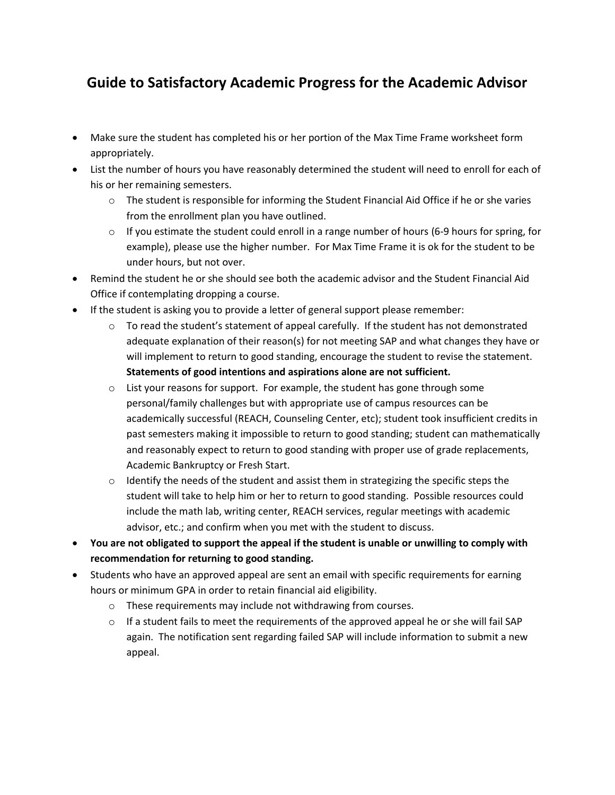## **Guide to Satisfactory Academic Progress for the Academic Advisor**

- Make sure the student has completed his or her portion of the Max Time Frame worksheet form appropriately.
- List the number of hours you have reasonably determined the student will need to enroll for each of his or her remaining semesters.
	- $\circ$  The student is responsible for informing the Student Financial Aid Office if he or she varies from the enrollment plan you have outlined.
	- $\circ$  If you estimate the student could enroll in a range number of hours (6-9 hours for spring, for example), please use the higher number. For Max Time Frame it is ok for the student to be under hours, but not over.
- Remind the student he or she should see both the academic advisor and the Student Financial Aid Office if contemplating dropping a course.
- If the student is asking you to provide a letter of general support please remember:
	- $\circ$  To read the student's statement of appeal carefully. If the student has not demonstrated adequate explanation of their reason(s) for not meeting SAP and what changes they have or will implement to return to good standing, encourage the student to revise the statement. **Statements of good intentions and aspirations alone are not sufficient.**
	- $\circ$  List your reasons for support. For example, the student has gone through some personal/family challenges but with appropriate use of campus resources can be academically successful (REACH, Counseling Center, etc); student took insufficient credits in past semesters making it impossible to return to good standing; student can mathematically and reasonably expect to return to good standing with proper use of grade replacements, Academic Bankruptcy or Fresh Start.
	- $\circ$  Identify the needs of the student and assist them in strategizing the specific steps the student will take to help him or her to return to good standing. Possible resources could include the math lab, writing center, REACH services, regular meetings with academic advisor, etc.; and confirm when you met with the student to discuss.
- **You are not obligated to support the appeal if the student is unable or unwilling to comply with recommendation for returning to good standing.**
- Students who have an approved appeal are sent an email with specific requirements for earning hours or minimum GPA in order to retain financial aid eligibility.
	- o These requirements may include not withdrawing from courses.
	- $\circ$  If a student fails to meet the requirements of the approved appeal he or she will fail SAP again. The notification sent regarding failed SAP will include information to submit a new appeal.